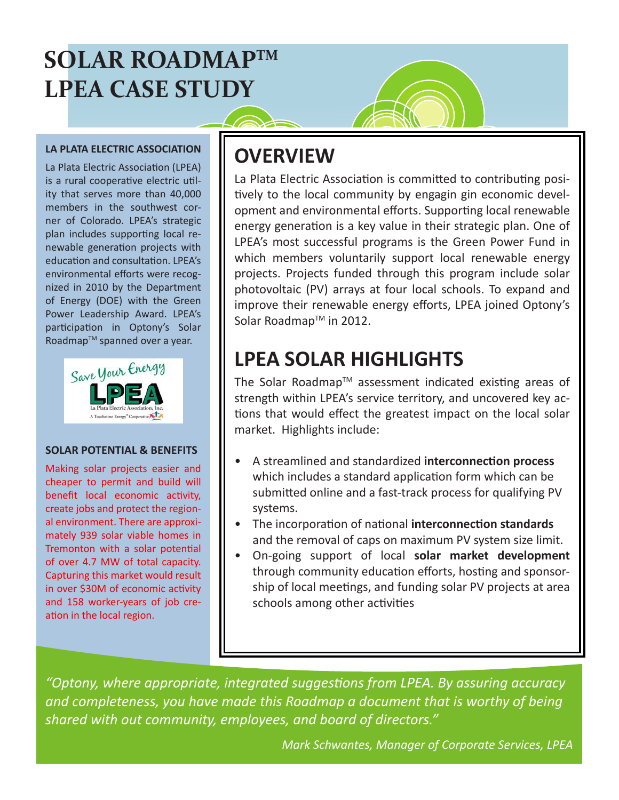# **SOLAR ROADMAPTM LPEA CASE STUDY**

#### **LA PLATA ELECTRIC ASSOCIATION**

La Plata Electric Association (LPEA) is a rural cooperative electric utility that serves more than 40,000 members in the southwest corner of Colorado. LPEA's strategic plan includes supporting local renewable generation projects with education and consultation. LPEA's environmental efforts were recognized in 2010 by the Department of Energy (DOE) with the Green Power Leadership Award. LPEA's participation in Optony's Solar Roadmap™ spanned over a year.



#### **SOLAR POTENTIAL & BENEFITS**

Making solar projects easier and cheaper to permit and build will benefit local economic activity, create jobs and protect the regional environment. There are approximately 939 solar viable homes in Tremonton with a solar potential of over 4.7 MW of total capacity. Capturing this market would result in over \$30M of economic activity and 158 worker-years of job creation in the local region.

### **OVERVIEW**

La Plata Electric Association is committed to contributing positively to the local community by engagin gin economic development and environmental efforts. Supporting local renewable energy generation is a key value in their strategic plan. One of LPEA's most successful programs is the Green Power Fund in which members voluntarily support local renewable energy projects. Projects funded through this program include solar photovoltaic (PV) arrays at four local schools. To expand and improve their renewable energy efforts, LPEA joined Optony's Solar Roadmap™ in 2012.

## **LPEA SOLAR HIGHLIGHTS**

The Solar Roadmap™ assessment indicated existing areas of strength within LPEA's service territory, and uncovered key actions that would effect the greatest impact on the local solar market. Highlights include:

- A streamlined and standardized **interconnection process** which includes a standard application form which can be submitted online and a fast-track process for qualifying PV systems.
- The incorporation of national **interconnection standards** and the removal of caps on maximum PV system size limit.
- On-going support of local **solar market development** through community education efforts, hosting and sponsorship of local meetings, and funding solar PV projects at area schools among other activities

*"Optony, where appropriate, integrated suggestions from LPEA. By assuring accuracy*  and completeness, you have made this Roadmap a document that is worthy of being *shared with out community, employees, and board of directors."*

*Mark Schwantes, Manager of Corporate Services, LPEA*